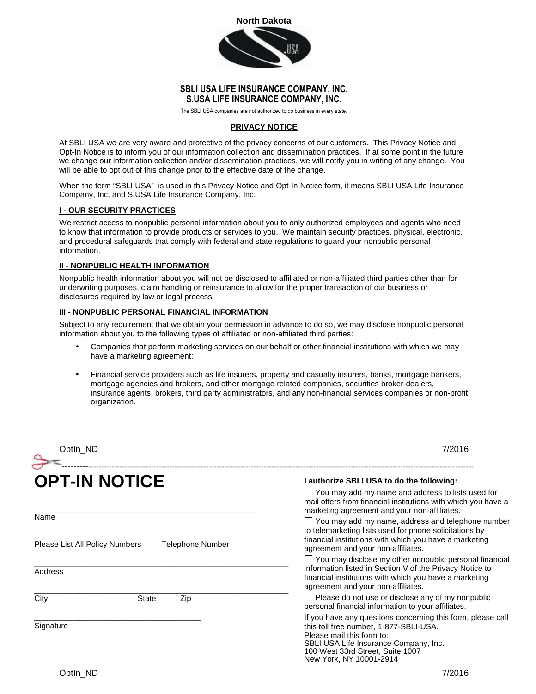

## **SBLI USA LIFE INSURANCE COMPANY, INC. S.USA LIFE INSURANCE COMPANY, INC.**

The SBLI USA companies are not authorized to do business in every state.

#### **PRIVACY NOTICE**

At SBLI USA we are very aware and protective of the privacy concerns of our customers. This Privacy Notice and Opt-In Notice is to inform you of our information collection and dissemination practices. If at some point in the future we change our information collection and/or dissemination practices, we will notify you in writing of any change. You will be able to opt out of this change prior to the effective date of the change.

When the term "SBLI USA" is used in this Privacy Notice and Opt-In Notice form, it means SBLI USA Life Insurance Company, Inc. and S.USA Life Insurance Company, Inc.

#### **I - OUR SECURITY PRACTICES**

We restrict access to nonpublic personal information about you to only authorized employees and agents who need to know that information to provide products or services to you. We maintain security practices, physical, electronic, and procedural safeguards that comply with federal and state regulations to guard your nonpublic personal information.

## **II - NONPUBLIC HEALTH INFORMATION**

Nonpublic health information about you will not be disclosed to affiliated or non-affiliated third parties other than for underwriting purposes, claim handling or reinsurance to allow for the proper transaction of our business or disclosures required by law or legal process.

#### **III - NONPUBLIC PERSONAL FINANCIAL INFORMATION**

Subject to any requirement that we obtain your permission in advance to do so, we may disclose nonpublic personal information about you to the following types of affiliated or non-affiliated third parties:

- Companies that perform marketing services on our behalf or other financial institutions with which we may have a marketing agreement;
- Financial service providers such as life insurers, property and casualty insurers, banks, mortgage bankers, mortgage agencies and brokers, and other mortgage related companies, securities broker-dealers, insurance agents, brokers, third party administrators, and any non-financial services companies or non-profit organization.

| Optln_ND                                                      | 7/2016                                                                                                                                                                                                                                     |
|---------------------------------------------------------------|--------------------------------------------------------------------------------------------------------------------------------------------------------------------------------------------------------------------------------------------|
| <b>OPT-IN NOTICE</b>                                          | I authorize SBLI USA to do the following:<br>You may add my name and address to lists used for<br>mail offers from financial institutions with which you have a                                                                            |
| Name                                                          | marketing agreement and your non-affiliates.<br>$\Box$ You may add my name, address and telephone number<br>to telemarketing lists used for phone solicitations by<br>financial institutions with which you have a marketing               |
| Telephone Number<br>Please List All Policy Numbers<br>Address | agreement and your non-affiliates.<br>You may disclose my other nonpublic personal financial<br>information listed in Section V of the Privacy Notice to<br>financial institutions with which you have a marketing                         |
| City<br><b>State</b><br>Zip                                   | agreement and your non-affiliates.<br>$\Box$ Please do not use or disclose any of my nonpublic<br>personal financial information to your affiliates.                                                                                       |
| Signature                                                     | If you have any questions concerning this form, please call<br>this toll free number, 1-877-SBLI-USA.<br>Please mail this form to:<br>SBLI USA Life Insurance Company, Inc.<br>100 West 33rd Street, Suite 1007<br>New York, NY 10001-2914 |